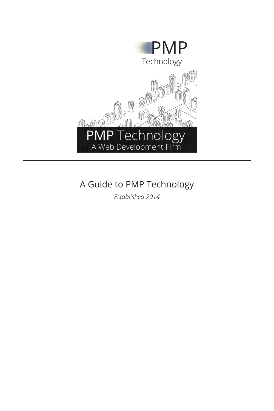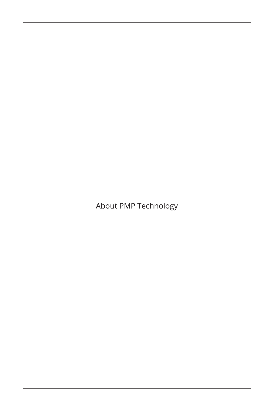## About PMP Technology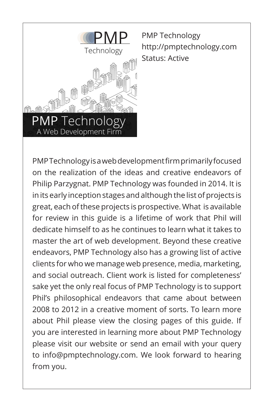

PMP Technology http://pmptechnology.com Status: Active

PMP Technology is a web development firm primarily focused on the realization of the ideas and creative endeavors of Philip Parzygnat. PMP Technology was founded in 2014. It is in its early inception stages and although the list of projects is great, each of these projects is prospective. What is available for review in this guide is a lifetime of work that Phil will dedicate himself to as he continues to learn what it takes to master the art of web development. Beyond these creative endeavors, PMP Technology also has a growing list of active clients for who we manage web presence, media, marketing, and social outreach. Client work is listed for completeness' sake yet the only real focus of PMP Technology is to support Phil's philosophical endeavors that came about between 2008 to 2012 in a creative moment of sorts. To learn more about Phil please view the closing pages of this guide. If you are interested in learning more about PMP Technology please visit our website or send an email with your query to info@pmptechnology.com. We look forward to hearing from you.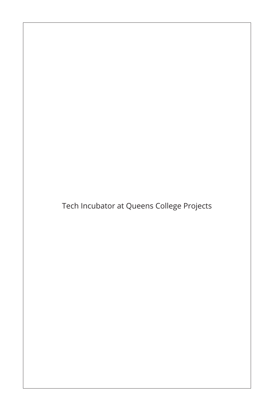Tech Incubator at Queens College Projects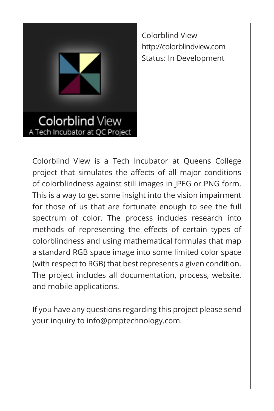

Colorblind View http://colorblindview.com Status: In Development

**Colorblind View** A Tech Incubator at QC Project

Colorblind View is a Tech Incubator at Queens College project that simulates the affects of all major conditions of colorblindness against still images in JPEG or PNG form. This is a way to get some insight into the vision impairment for those of us that are fortunate enough to see the full spectrum of color. The process includes research into methods of representing the effects of certain types of colorblindness and using mathematical formulas that map a standard RGB space image into some limited color space (with respect to RGB) that best represents a given condition. The project includes all documentation, process, website, and mobile applications.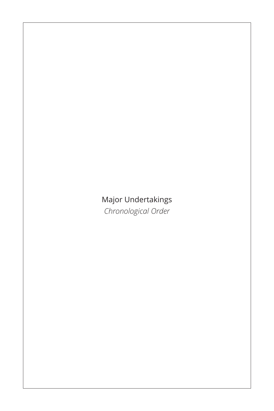#### Major Undertakings *Chronological Order*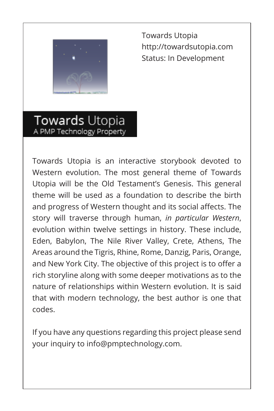

Towards Utopia http://towardsutopia.com Status: In Development

Towards Utopia A PMP Technology Property

Towards Utopia is an interactive storybook devoted to Western evolution. The most general theme of Towards Utopia will be the Old Testament's Genesis. This general theme will be used as a foundation to describe the birth and progress of Western thought and its social affects. The story will traverse through human, *in particular Western*, evolution within twelve settings in history. These include, Eden, Babylon, The Nile River Valley, Crete, Athens, The Areas around the Tigris, Rhine, Rome, Danzig, Paris, Orange, and New York City. The objective of this project is to offer a rich storyline along with some deeper motivations as to the nature of relationships within Western evolution. It is said that with modern technology, the best author is one that codes.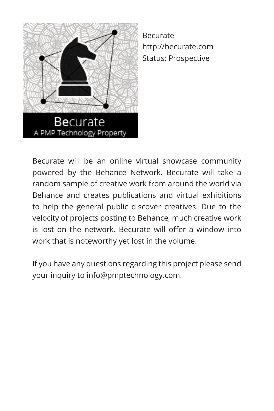

A PMP Technology Property

Becurate http://becurate.com Status: Prospective

Becurate will be an online virtual showcase community powered by the Behance Network. Becurate will take a random sample of creative work from around the world via Behance and creates publications and virtual exhibitions to help the general public discover creatives. Due to the velocity of projects posting to Behance, much creative work is lost on the network. Becurate will offer a window into work that is noteworthy yet lost in the volume.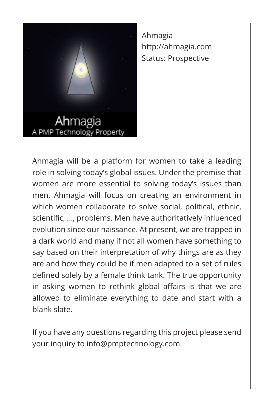

Ahmagia http://ahmagia.com Status: Prospective

A PMP Technology Property

Ahmagia will be a platform for women to take a leading role in solving today's global issues. Under the premise that women are more essential to solving today's issues than men, Ahmagia will focus on creating an environment in which women collaborate to solve social, political, ethnic, scientific, ..., problems. Men have authoritatively influenced evolution since our naissance. At present, we are trapped in a dark world and many if not all women have something to say based on their interpretation of why things are as they are and how they could be if men adapted to a set of rules defined solely by a female think tank. The true opportunity in asking women to rethink global affairs is that we are allowed to eliminate everything to date and start with a blank slate.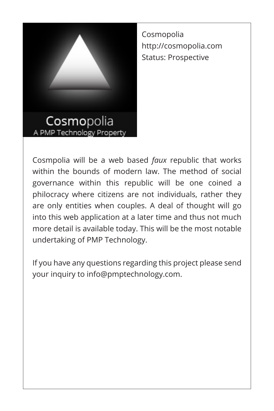

Cosmopolia http://cosmopolia.com Status: Prospective

Cosmpolia will be a web based *faux* republic that works within the bounds of modern law. The method of social governance within this republic will be one coined a philocracy where citizens are not individuals, rather they are only entities when couples. A deal of thought will go into this web application at a later time and thus not much more detail is available today. This will be the most notable undertaking of PMP Technology.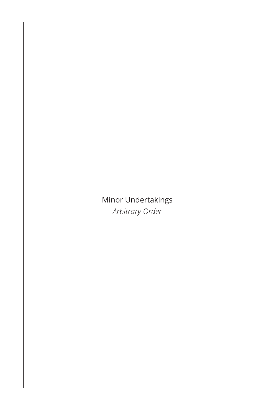#### Minor Undertakings *Arbitrary Order*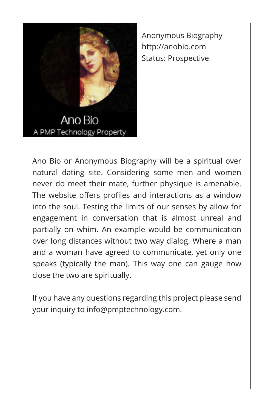

Anonymous Biography http://anobio.com Status: Prospective

Ano Bio A PMP Technology Property

Ano Bio or Anonymous Biography will be a spiritual over natural dating site. Considering some men and women never do meet their mate, further physique is amenable. The website offers profiles and interactions as a window into the soul. Testing the limits of our senses by allow for engagement in conversation that is almost unreal and partially on whim. An example would be communication over long distances without two way dialog. Where a man and a woman have agreed to communicate, yet only one speaks (typically the man). This way one can gauge how close the two are spiritually.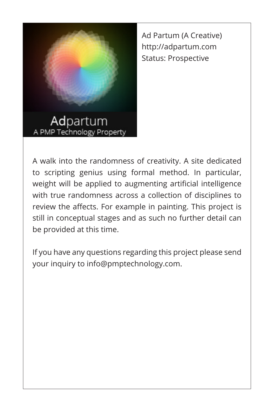

Ad Partum (A Creative) http://adpartum.com Status: Prospective

A walk into the randomness of creativity. A site dedicated to scripting genius using formal method. In particular, weight will be applied to augmenting artificial intelligence with true randomness across a collection of disciplines to review the affects. For example in painting. This project is still in conceptual stages and as such no further detail can be provided at this time.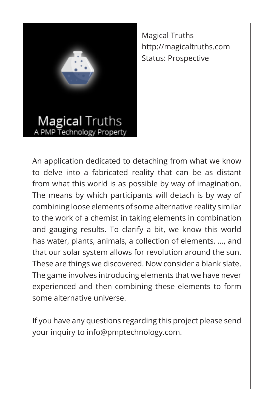

Magical Truths http://magicaltruths.com Status: Prospective

## **Magical Truths** Technology Property

An application dedicated to detaching from what we know to delve into a fabricated reality that can be as distant from what this world is as possible by way of imagination. The means by which participants will detach is by way of combining loose elements of some alternative reality similar to the work of a chemist in taking elements in combination and gauging results. To clarify a bit, we know this world has water, plants, animals, a collection of elements, ..., and that our solar system allows for revolution around the sun. These are things we discovered. Now consider a blank slate. The game involves introducing elements that we have never experienced and then combining these elements to form some alternative universe.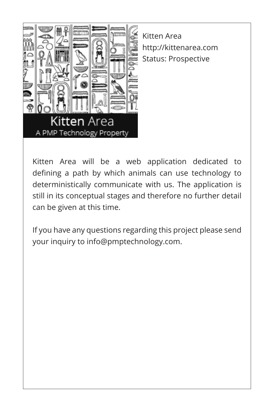

Kitten Area http://kittenarea.com Status: Prospective

Kitten Area will be a web application dedicated to defining a path by which animals can use technology to deterministically communicate with us. The application is still in its conceptual stages and therefore no further detail can be given at this time.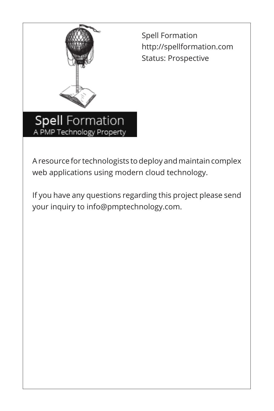

A PMP Technology Property

Spell Formation http://spellformation.com Status: Prospective

A resource for technologists to deploy and maintain complex web applications using modern cloud technology.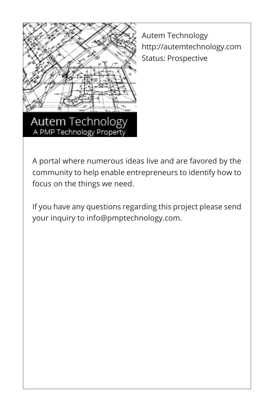

A PMP Technology Property

Autem Technology http://autemtechnology.com Status: Prospective

A portal where numerous ideas live and are favored by the community to help enable entrepreneurs to identify how to focus on the things we need.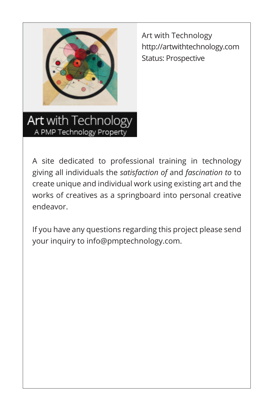

Art with Technology http://artwithtechnology.com Status: Prospective

Art with Technology A PMP Technology Property

A site dedicated to professional training in technology giving all individuals the *satisfaction of* and *fascination to* to create unique and individual work using existing art and the works of creatives as a springboard into personal creative endeavor.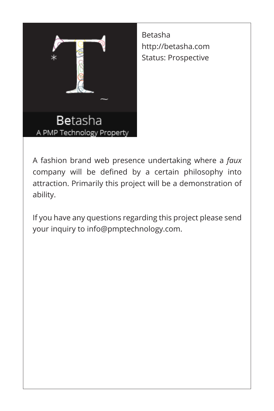

Betasha http://betasha.com Status: Prospective

A fashion brand web presence undertaking where a *faux*  company will be defined by a certain philosophy into attraction. Primarily this project will be a demonstration of ability.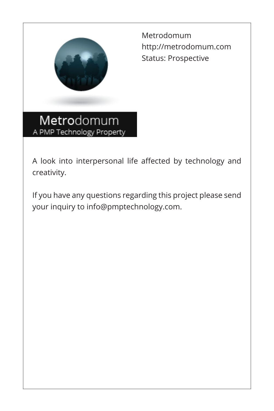

Metrodomum http://metrodomum.com Status: Prospective

Metrodomum A PMP Technology Property

A look into interpersonal life affected by technology and creativity.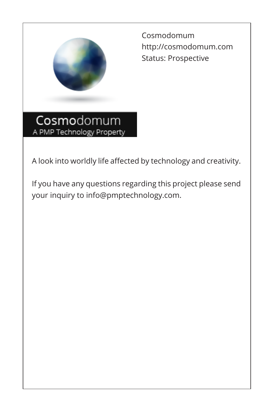

Cosmodomum http://cosmodomum.com Status: Prospective

Cosmodomum A PMP Technology Property

A look into worldly life affected by technology and creativity.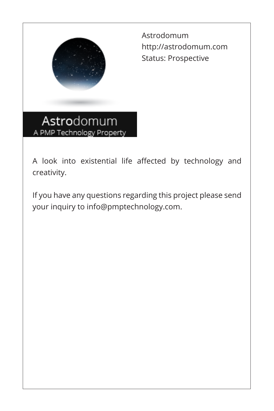

Astrodomum http://astrodomum.com Status: Prospective

Astrodomum A PMP Technology Property

A look into existential life affected by technology and creativity.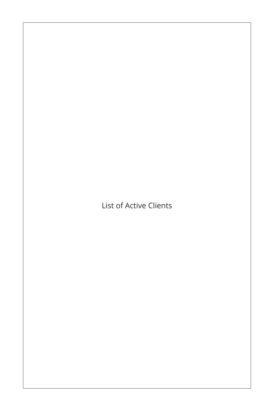List of Active Clients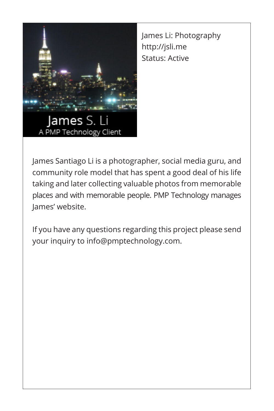

James Li: Photography http://jsli.me Status: Active

James S. A PMP Technology Client

James Santiago Li is a photographer, social media guru, and community role model that has spent a good deal of his life taking and later collecting valuable photos from memorable places and with memorable people. PMP Technology manages James' website.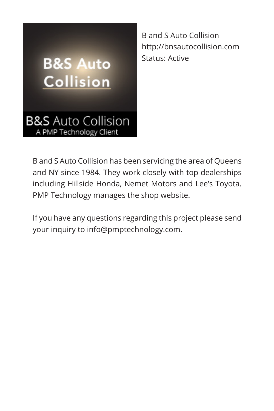# **B&S Auto Collision**

B and S Auto Collision http://bnsautocollision.com Status: Active

**B&S** Auto Collision A PMP Technology Client

B and S Auto Collision has been servicing the area of Queens and NY since 1984. They work closely with top dealerships including Hillside Honda, Nemet Motors and Lee's Toyota. PMP Technology manages the shop website.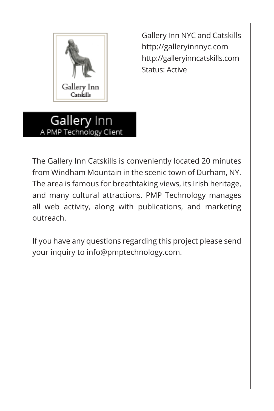

Gallery Inn NYC and Catskills http://galleryinnnyc.com http://galleryinncatskills.com Status: Active

Gallery Inn A PMP Technology Client

The Gallery Inn Catskills is conveniently located 20 minutes from Windham Mountain in the scenic town of Durham, NY. The area is famous for breathtaking views, its Irish heritage, and many cultural attractions. PMP Technology manages all web activity, along with publications, and marketing outreach.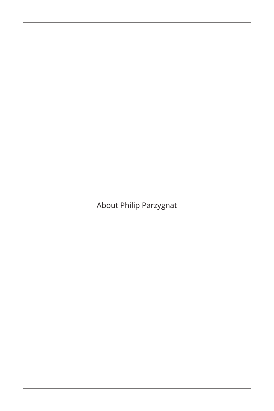About Philip Parzygnat